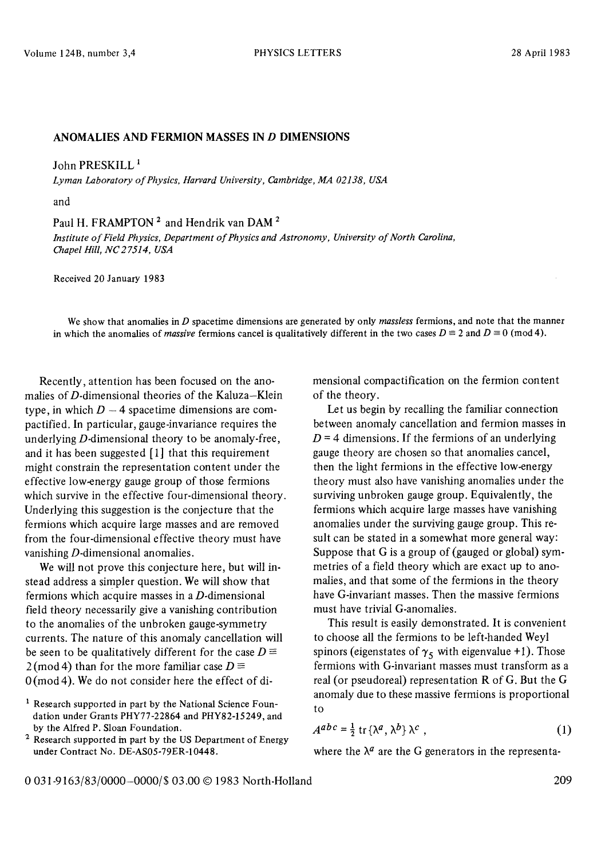## **ANOMALIES AND FERMION MASSES IN D DIMENSIONS**

John PRESKILL<sup>1</sup>

*L yman Laboratory of Physics, Harvard University, Cambridge, MA 02138, USA* 

and

Paul H. FRAMPTON<sup>2</sup> and Hendrik van DAM<sup>2</sup>

*Institute of Field Physics, Department of Physics and Astronomy, University of North Carolina, Chapel Hill, NC27514, USA* 

Received 20 January 1983

We show that anomalies in D spacetime dimensions are generated by only *massless* fermions, and note that the manner in which the anomalies of *massive* fermions cancel is qualitatively different in the two cases  $D \equiv 2$  and  $D \equiv 0 \pmod{4}$ .

Recently, attention has been focused on the anomalies of  $D$ -dimensional theories of the Kaluza-Klein type, in which  $D - 4$  spacetime dimensions are compactified. In particular, gauge-invariance requires the underlying D-dimensional theory to be anomaly-free, and it has been suggested  $[1]$  that this requirement might constrain the representation content under the effective low-energy gauge group of those fermions which survive in the effective four-dimensional theory. Underlying this suggestion is the conjecture that the fermions which acquire large masses and are removed from the four-dimensional effective theory must have vanishing D-dimensional anomalies.

We will not prove this conjecture here, but will instead address a simpler question. We will show that fermions which acquire masses in a D-dimensional field theory necessarily give a vanishing contribution to the anomalies of the unbroken gauge-symmetry currents. The nature of this anomaly cancellation will be seen to be qualitatively different for the case  $D \equiv$  $2 \text{ (mod 4)}$  than for the more familiar case  $D \equiv$  $0 \text{ (mod 4)}$ . We do not consider here the effect of dimensional compactification on the fermion content of the theory.

Let us begin by recalling the familiar connection between anomaly cancellation and fermion masses in  $D = 4$  dimensions. If the fermions of an underlying gauge theory are chosen so that anomalies cancel, then the light fermions in the effective low-energy theory must also have vanishing anomalies under the surviving unbroken gauge group. Equivalently, the fermions which acquire large masses have vanishing anomalies under the surviving gauge group. This result can be stated in a somewhat more general way: Suppose that G is a group of (gauged or global) symmetries of a field theory which are exact up to anomalies, and that some of the fermions in the theory have G-invariant masses. Then the massive fermions must have trivial G-anomalies.

This result is easily demonstrated. It is convenient to choose all the fermions to be left-handed Weyl spinors (eigenstates of  $\gamma_5$  with eigenvalue +1). Those fermions with G-invariant masses must transform as a real (or pseudoreal) representation R of G. But the G anomaly due to these massive fermions is proportional to

$$
A^{abc} = \frac{1}{2} \operatorname{tr} \{ \lambda^a, \lambda^b \} \lambda^c \tag{1}
$$

where the  $\lambda^a$  are the G generators in the representa-

<sup>&</sup>lt;sup>1</sup> Research supported in part by the National Science Foundation under Grants PHY77-22864 and PHY82-15249, and by the Alfred P. Sloan Foundation.

<sup>&</sup>lt;sup>2</sup> Research supported in part by the US Department of Energy under Contract No. DE-AS05-79ER-I0448.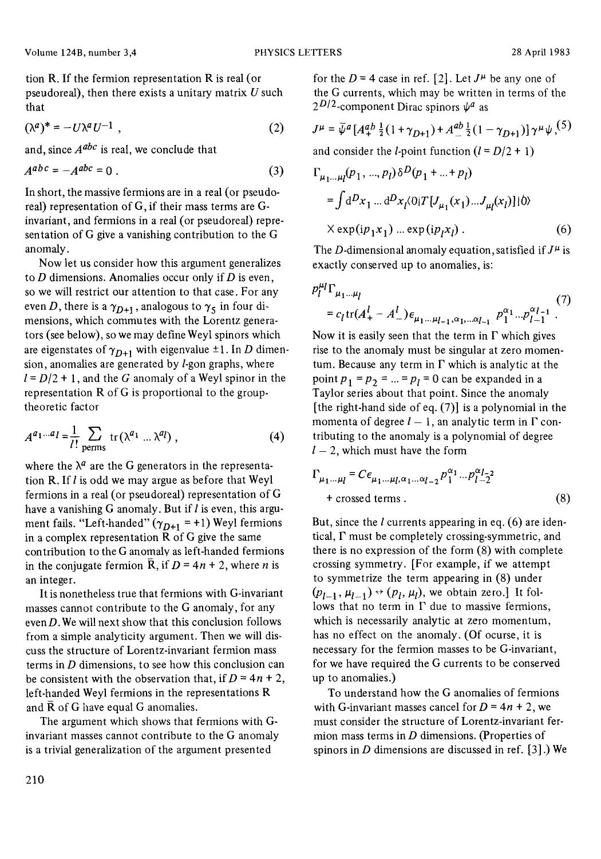tion R. If the fermion representation R is real (or pseudoreal), then there exists a unitary matrix  $U$  such that

$$
(\lambda^a)^* = -U\lambda^a U^{-1} \tag{2}
$$

and, since *A abe* is real, we conclude that

$$
A^{abc} = -A^{abc} = 0.
$$
 (3)

In short, the massive fermions are in a real (or pseudoreal) representation of G, if their mass terms are Ginvariant, and fermions in a real (or pseudoreal) representation of G give a vanishing contribution to the G anomaly.

Now let us consider how this argument generalizes to  $D$  dimensions. Anomalies occur only if  $D$  is even, so we will restrict our attention to that case. For any even D, there is a  $\gamma_{D+1}$ , analogous to  $\gamma_5$  in four dimensions, which commutes with the Lorentz generators (see below), so we may define Weyl spinors which are eigenstates of  $\gamma_{D+1}$  with eigenvalue  $\pm 1$ . In D dimension, anomalies are generated by  $l$ -gon graphs, where  $l = D/2 + 1$ , and the G anomaly of a Weyl spinor in the representation R of G is proportional to the grouptheoretic factor

$$
A^{a_1...a_l} = \frac{1}{l!} \sum_{\text{perms}} \text{tr}(\lambda^{a_1} ... \lambda^{a_l}), \qquad (4)
$$

where the  $\lambda^a$  are the G generators in the representation R. If  $l$  is odd we may argue as before that Weyl fermions in a real (or pseudoreal) representation of G have a vanishing G anomaly. But if  $l$  is even, this argument fails. "Left-handed"  $(\gamma_{D+1} = +1)$  Weyl fermions in a complex representation  $\overline{R}$  of G give the same contribution to the G anomaly as left-handed fermions in the conjugate fermion  $\overline{R}$ , if  $D = 4n + 2$ , where *n* is an integer.

It is nonetheless true that fermions with G-invariant masses cannot contribute to the G anomaly, for any even  $D$ . We will next show that this conclusion follows from a simple analyticity argument. Then we will discuss the structure of Lorentz-invariant fermion mass terms in  $D$  dimensions, to see how this conclusion can be consistent with the observation that, if  $D = 4n + 2$ , left-handed Weyl fermions in the representations R and  $\bar{R}$  of G have equal G anomalies.

The argument which shows that fermions with Ginvariant masses cannot contribute to the G anomaly is a trivial generalization of the argument presented

for the  $D = 4$  case in ref. [2]. Let  $J^{\mu}$  be any one of the G currents, which may be written in terms of the  $2^{D/2}$ -component Dirac spinors  $\psi^a$  as

$$
J^{\mu} = \bar{\psi}^a \left[ A_+^{ab} \frac{1}{2} (1 + \gamma_{D+1}) + A_-^{ab} \frac{1}{2} (1 - \gamma_{D+1}) \right] \gamma^{\mu} \psi^{(5)}
$$

and consider the *l*-point function  $(l = D/2 + 1)$ 

$$
\Gamma_{\mu_1...\mu_l}(p_1, ..., p_l) \delta^{D}(p_1 + ... + p_l)
$$
  
=  $\int d^{D}x_1 ... d^{D}x_l \langle 0|T[J_{\mu_1}(x_1)...J_{\mu_l}(x_l)]|0\rangle$   
 $\times \exp(i p_1 x_1) ... \exp(i p_l x_l)$ . (6)

The D-dimensional anomaly equation, satisfied if  $J^{\mu}$  is exactly conserved up to anomalies, is:

$$
p_l^{\mu_l} \Gamma_{\mu_1 \dots \mu_l} \tag{7}
$$
  
=  $c_l \text{tr}(A_+^l - A_-^l) \epsilon_{\mu_1 \dots \mu_{l-1}, \alpha_1, \dots \alpha_{l-1}} p_1^{\alpha_1} \dots p_{l-1}^{\alpha_{l-1}} \tag{7}$ 

Now it is easily seen that the term in  $\Gamma$  which gives rise to the anomaly must be singular at zero momentum. Because any term in  $\Gamma$  which is analytic at the point  $p_1 = p_2 = ... = p_l = 0$  can be expanded in a Taylor series about that point. Since the anomaly [the right-hand side of eq. (7)] is a polynomial in the momenta of degree  $l - 1$ , an analytic term in  $\Gamma$  contributing to the anomaly is a polynomial of degree  $l - 2$ , which must have the form

$$
\Gamma_{\mu_1 \dots \mu_l} = C \epsilon_{\mu_1 \dots \mu_l, \alpha_1 \dots \alpha_{l-2}} p_1^{\alpha_1} \dots p_{l-2}^{\alpha_{l-2}}
$$
  
+ crossed terms . (8)

But, since the  $l$  currents appearing in eq. (6) are identical,  $\Gamma$  must be completely crossing-symmetric, and there is no expression of the form (8) with complete crossing symmetry. [For example, if we attempt to symmetrize the term appearing in (8) under  $(p_{l-1}, \mu_{l-1}) \rightarrow (p_l, \mu_l)$ , we obtain zero.] It follows that no term in  $\Gamma$  due to massive fermions, which is necessarily analytic at zero momentum, has no effect on the anomaly. (Of ocurse, it is necessary for the fermion masses to be G-invariant, for we have required the G currents to be conserved up to anomalies.)

To understand how the G anomalies of fermions with G-invariant masses cancel for  $D = 4n + 2$ , we must consider the structure of Lorentz-invariant fermion mass terms in  $D$  dimensions. (Properties of spinors in  $D$  dimensions are discussed in ref. [3].) We